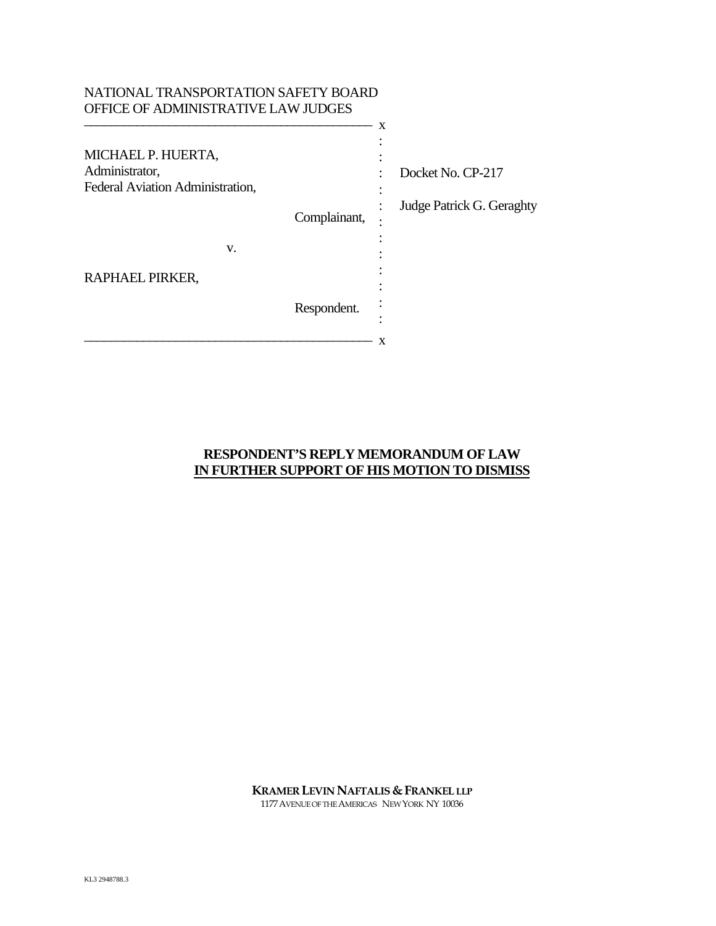| NATIONAL TRANSPORTATION SAFETY BOARD |              |                           |
|--------------------------------------|--------------|---------------------------|
| OFFICE OF ADMINISTRATIVE LAW JUDGES  |              |                           |
|                                      | X            |                           |
| MICHAEL P. HUERTA,                   |              |                           |
| Administrator,                       |              | Docket No. CP-217         |
| Federal Aviation Administration,     |              |                           |
|                                      | Complainant, | Judge Patrick G. Geraghty |
| V.                                   |              |                           |
| RAPHAEL PIRKER,                      |              |                           |
|                                      | Respondent.  |                           |
|                                      | X            |                           |

# **RESPONDENT'S REPLY MEMORANDUM OF LAW IN FURTHER SUPPORT OF HIS MOTION TO DISMISS**

**KRAMER LEVIN NAFTALIS & FRANKEL LLP** 

1177AVENUE OF THE AMERICAS NEW YORK NY 10036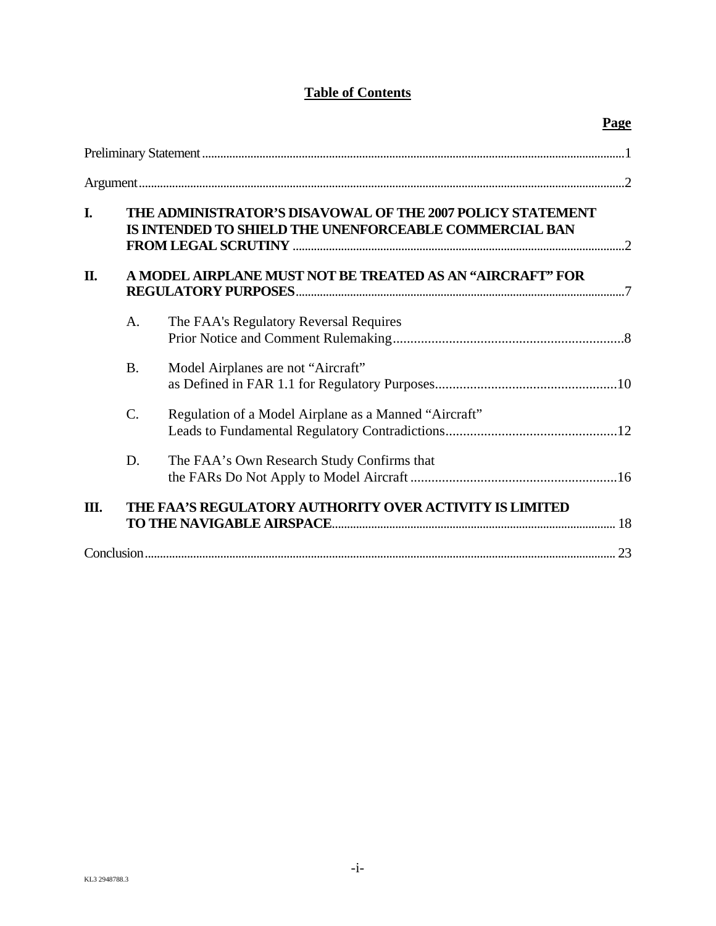# **Table of Contents**

|    |                                                                                                                      |                                                         | Page |
|----|----------------------------------------------------------------------------------------------------------------------|---------------------------------------------------------|------|
|    |                                                                                                                      |                                                         |      |
|    |                                                                                                                      |                                                         |      |
| I. | THE ADMINISTRATOR'S DISAVOWAL OF THE 2007 POLICY STATEMENT<br>IS INTENDED TO SHIELD THE UNENFORCEABLE COMMERCIAL BAN |                                                         |      |
| П. | A MODEL AIRPLANE MUST NOT BE TREATED AS AN "AIRCRAFT" FOR                                                            |                                                         |      |
|    | A.                                                                                                                   | The FAA's Regulatory Reversal Requires                  |      |
|    | <b>B.</b>                                                                                                            | Model Airplanes are not "Aircraft"                      |      |
|    | C.                                                                                                                   | Regulation of a Model Airplane as a Manned "Aircraft"   |      |
|    | D.                                                                                                                   | The FAA's Own Research Study Confirms that              |      |
| Ш. |                                                                                                                      | THE FAA'S REGULATORY AUTHORITY OVER ACTIVITY IS LIMITED |      |
|    |                                                                                                                      |                                                         |      |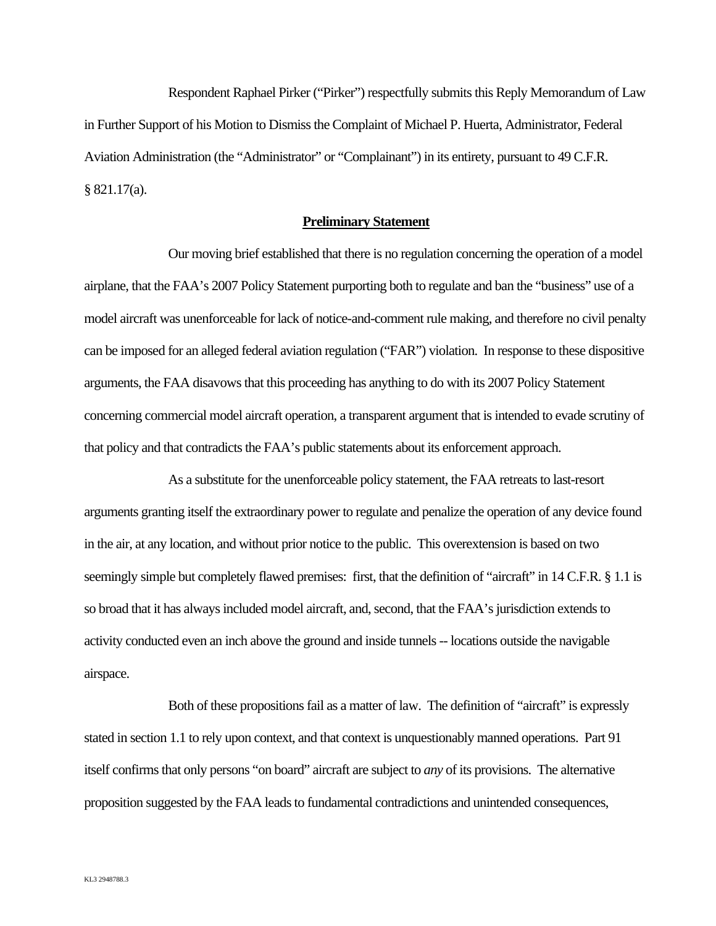Respondent Raphael Pirker ("Pirker") respectfully submits this Reply Memorandum of Law in Further Support of his Motion to Dismiss the Complaint of Michael P. Huerta, Administrator, Federal Aviation Administration (the "Administrator" or "Complainant") in its entirety, pursuant to 49 C.F.R. § 821.17(a).

#### **Preliminary Statement**

Our moving brief established that there is no regulation concerning the operation of a model airplane, that the FAA's 2007 Policy Statement purporting both to regulate and ban the "business" use of a model aircraft was unenforceable for lack of notice-and-comment rule making, and therefore no civil penalty can be imposed for an alleged federal aviation regulation ("FAR") violation. In response to these dispositive arguments, the FAA disavows that this proceeding has anything to do with its 2007 Policy Statement concerning commercial model aircraft operation, a transparent argument that is intended to evade scrutiny of that policy and that contradicts the FAA's public statements about its enforcement approach.

As a substitute for the unenforceable policy statement, the FAA retreats to last-resort arguments granting itself the extraordinary power to regulate and penalize the operation of any device found in the air, at any location, and without prior notice to the public. This overextension is based on two seemingly simple but completely flawed premises: first, that the definition of "aircraft" in 14 C.F.R. § 1.1 is so broad that it has always included model aircraft, and, second, that the FAA's jurisdiction extends to activity conducted even an inch above the ground and inside tunnels -- locations outside the navigable airspace.

Both of these propositions fail as a matter of law. The definition of "aircraft" is expressly stated in section 1.1 to rely upon context, and that context is unquestionably manned operations. Part 91 itself confirms that only persons "on board" aircraft are subject to *any* of its provisions. The alternative proposition suggested by the FAA leads to fundamental contradictions and unintended consequences,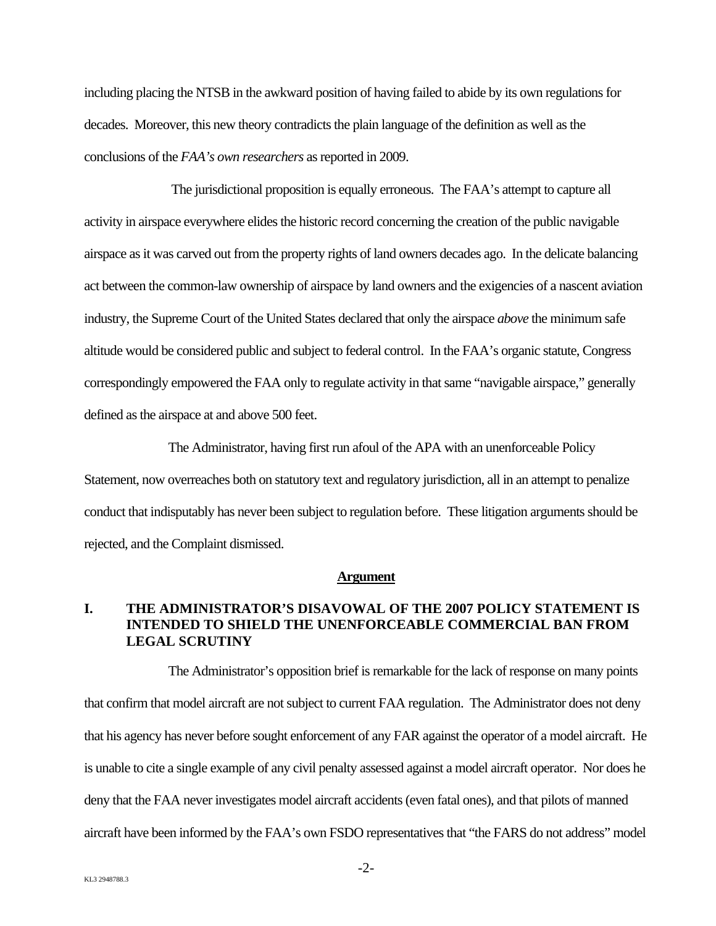including placing the NTSB in the awkward position of having failed to abide by its own regulations for decades. Moreover, this new theory contradicts the plain language of the definition as well as the conclusions of the *FAA's own researchers* as reported in 2009.

 The jurisdictional proposition is equally erroneous. The FAA's attempt to capture all activity in airspace everywhere elides the historic record concerning the creation of the public navigable airspace as it was carved out from the property rights of land owners decades ago. In the delicate balancing act between the common-law ownership of airspace by land owners and the exigencies of a nascent aviation industry, the Supreme Court of the United States declared that only the airspace *above* the minimum safe altitude would be considered public and subject to federal control. In the FAA's organic statute, Congress correspondingly empowered the FAA only to regulate activity in that same "navigable airspace," generally defined as the airspace at and above 500 feet.

The Administrator, having first run afoul of the APA with an unenforceable Policy Statement, now overreaches both on statutory text and regulatory jurisdiction, all in an attempt to penalize conduct that indisputably has never been subject to regulation before. These litigation arguments should be rejected, and the Complaint dismissed.

#### **Argument**

### **I. THE ADMINISTRATOR'S DISAVOWAL OF THE 2007 POLICY STATEMENT IS INTENDED TO SHIELD THE UNENFORCEABLE COMMERCIAL BAN FROM LEGAL SCRUTINY**

The Administrator's opposition brief is remarkable for the lack of response on many points that confirm that model aircraft are not subject to current FAA regulation. The Administrator does not deny that his agency has never before sought enforcement of any FAR against the operator of a model aircraft. He is unable to cite a single example of any civil penalty assessed against a model aircraft operator. Nor does he deny that the FAA never investigates model aircraft accidents (even fatal ones), and that pilots of manned aircraft have been informed by the FAA's own FSDO representatives that "the FARS do not address" model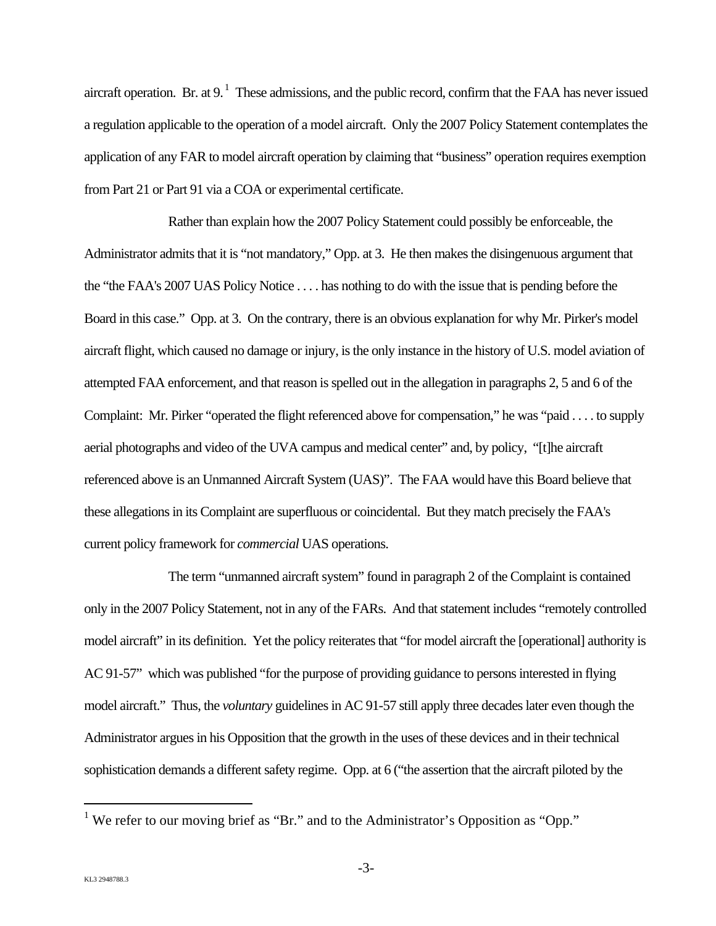aircraft operation. Br. at 9.<sup>1</sup> These admissions, and the public record, confirm that the FAA has never issued a regulation applicable to the operation of a model aircraft. Only the 2007 Policy Statement contemplates the application of any FAR to model aircraft operation by claiming that "business" operation requires exemption from Part 21 or Part 91 via a COA or experimental certificate.

Rather than explain how the 2007 Policy Statement could possibly be enforceable, the Administrator admits that it is "not mandatory," Opp. at 3. He then makes the disingenuous argument that the "the FAA's 2007 UAS Policy Notice . . . . has nothing to do with the issue that is pending before the Board in this case." Opp. at 3. On the contrary, there is an obvious explanation for why Mr. Pirker's model aircraft flight, which caused no damage or injury, is the only instance in the history of U.S. model aviation of attempted FAA enforcement, and that reason is spelled out in the allegation in paragraphs 2, 5 and 6 of the Complaint: Mr. Pirker "operated the flight referenced above for compensation," he was "paid . . . . to supply aerial photographs and video of the UVA campus and medical center" and, by policy, "[t]he aircraft referenced above is an Unmanned Aircraft System (UAS)". The FAA would have this Board believe that these allegations in its Complaint are superfluous or coincidental. But they match precisely the FAA's current policy framework for *commercial* UAS operations.

The term "unmanned aircraft system" found in paragraph 2 of the Complaint is contained only in the 2007 Policy Statement, not in any of the FARs. And that statement includes "remotely controlled model aircraft" in its definition. Yet the policy reiterates that "for model aircraft the [operational] authority is AC 91-57" which was published "for the purpose of providing guidance to persons interested in flying model aircraft." Thus, the *voluntary* guidelines in AC 91-57 still apply three decades later even though the Administrator argues in his Opposition that the growth in the uses of these devices and in their technical sophistication demands a different safety regime. Opp. at 6 ("the assertion that the aircraft piloted by the

<sup>&</sup>lt;sup>1</sup> We refer to our moving brief as "Br." and to the Administrator's Opposition as "Opp."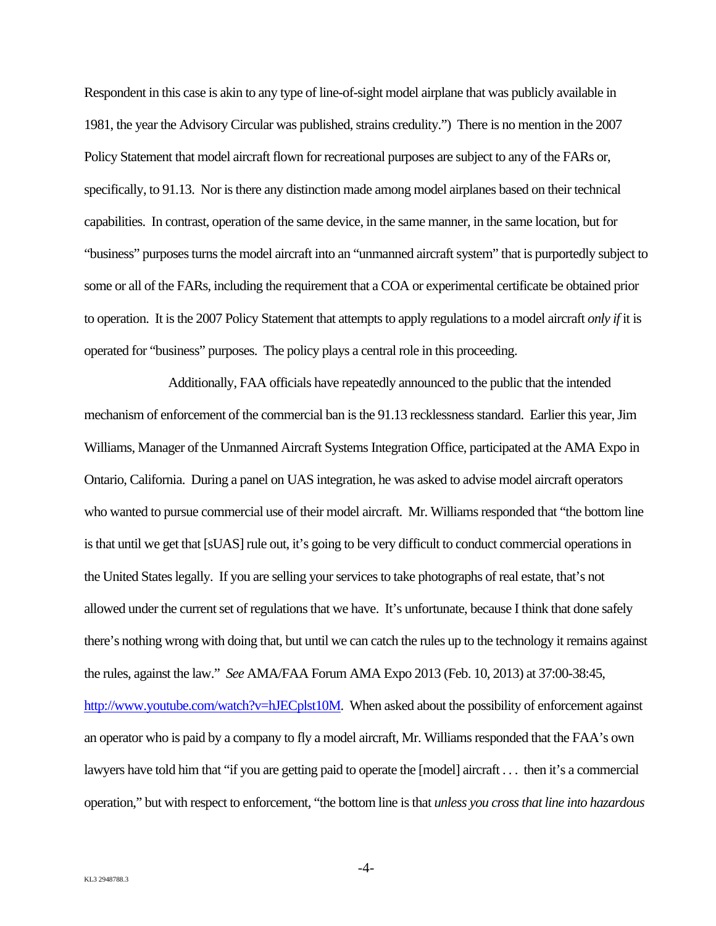Respondent in this case is akin to any type of line-of-sight model airplane that was publicly available in 1981, the year the Advisory Circular was published, strains credulity.") There is no mention in the 2007 Policy Statement that model aircraft flown for recreational purposes are subject to any of the FARs or, specifically, to 91.13. Nor is there any distinction made among model airplanes based on their technical capabilities. In contrast, operation of the same device, in the same manner, in the same location, but for "business" purposes turns the model aircraft into an "unmanned aircraft system" that is purportedly subject to some or all of the FARs, including the requirement that a COA or experimental certificate be obtained prior to operation. It is the 2007 Policy Statement that attempts to apply regulations to a model aircraft *only if* it is operated for "business" purposes. The policy plays a central role in this proceeding.

Additionally, FAA officials have repeatedly announced to the public that the intended mechanism of enforcement of the commercial ban is the 91.13 recklessness standard. Earlier this year, Jim Williams, Manager of the Unmanned Aircraft Systems Integration Office, participated at the AMA Expo in Ontario, California. During a panel on UAS integration, he was asked to advise model aircraft operators who wanted to pursue commercial use of their model aircraft. Mr. Williams responded that "the bottom line is that until we get that [sUAS] rule out, it's going to be very difficult to conduct commercial operations in the United States legally. If you are selling your services to take photographs of real estate, that's not allowed under the current set of regulations that we have. It's unfortunate, because I think that done safely there's nothing wrong with doing that, but until we can catch the rules up to the technology it remains against the rules, against the law." *See* AMA/FAA Forum AMA Expo 2013 (Feb. 10, 2013) at 37:00-38:45, http://www.youtube.com/watch?v=hJECplst10M. When asked about the possibility of enforcement against an operator who is paid by a company to fly a model aircraft, Mr. Williams responded that the FAA's own lawyers have told him that "if you are getting paid to operate the [model] aircraft . . . then it's a commercial operation," but with respect to enforcement, "the bottom line is that *unless you cross that line into hazardous*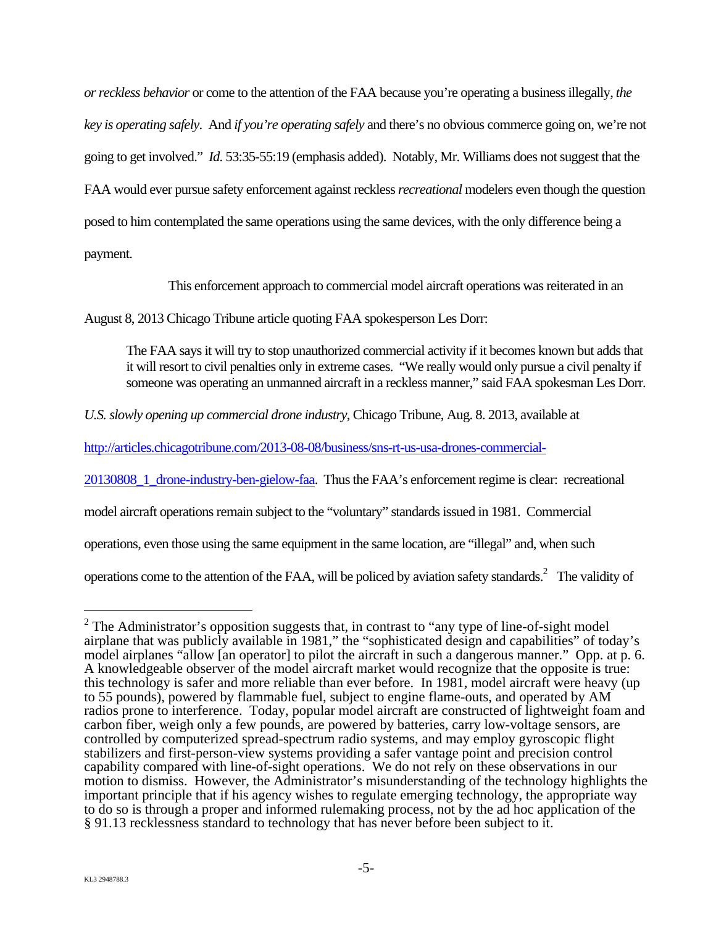*or reckless behavior* or come to the attention of the FAA because you're operating a business illegally, *the key is operating safely*. And *if you're operating safely* and there's no obvious commerce going on, we're not going to get involved." *Id*. 53:35-55:19 (emphasis added). Notably, Mr. Williams does not suggest that the FAA would ever pursue safety enforcement against reckless *recreational* modelers even though the question posed to him contemplated the same operations using the same devices, with the only difference being a payment.

This enforcement approach to commercial model aircraft operations was reiterated in an

August 8, 2013 Chicago Tribune article quoting FAA spokesperson Les Dorr:

The FAA says it will try to stop unauthorized commercial activity if it becomes known but adds that it will resort to civil penalties only in extreme cases. "We really would only pursue a civil penalty if someone was operating an unmanned aircraft in a reckless manner," said FAA spokesman Les Dorr.

*U.S. slowly opening up commercial drone industry*, Chicago Tribune, Aug. 8. 2013, available at

http://articles.chicagotribune.com/2013-08-08/business/sns-rt-us-usa-drones-commercial-

20130808\_1\_drone-industry-ben-gielow-faa. Thus the FAA's enforcement regime is clear: recreational

model aircraft operations remain subject to the "voluntary" standards issued in 1981. Commercial

operations, even those using the same equipment in the same location, are "illegal" and, when such

operations come to the attention of the FAA, will be policed by aviation safety standards.<sup>2</sup> The validity of

 $2^2$  The Administrator's opposition suggests that, in contrast to "any type of line-of-sight model airplane that was publicly available in 1981," the "sophisticated design and capabilities" of today's model airplanes "allow [an operator] to pilot the aircraft in such a dangerous manner." Opp. at p. 6. A knowledgeable observer of the model aircraft market would recognize that the opposite is true: this technology is safer and more reliable than ever before. In 1981, model aircraft were heavy (up to 55 pounds), powered by flammable fuel, subject to engine flame-outs, and operated by AM radios prone to interference. Today, popular model aircraft are constructed of lightweight foam and carbon fiber, weigh only a few pounds, are powered by batteries, carry low-voltage sensors, are controlled by computerized spread-spectrum radio systems, and may employ gyroscopic flight stabilizers and first-person-view systems providing a safer vantage point and precision control capability compared with line-of-sight operations. We do not rely on these observations in our motion to dismiss. However, the Administrator's misunderstanding of the technology highlights the important principle that if his agency wishes to regulate emerging technology, the appropriate way to do so is through a proper and informed rulemaking process, not by the ad hoc application of the § 91.13 recklessness standard to technology that has never before been subject to it.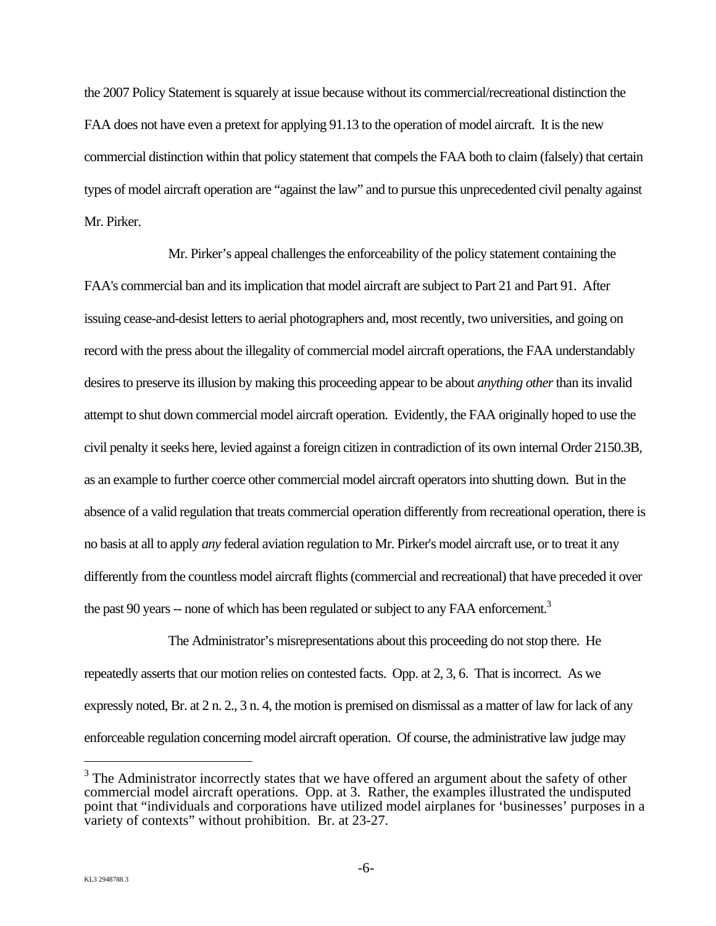the 2007 Policy Statement is squarely at issue because without its commercial/recreational distinction the FAA does not have even a pretext for applying 91.13 to the operation of model aircraft. It is the new commercial distinction within that policy statement that compels the FAA both to claim (falsely) that certain types of model aircraft operation are "against the law" and to pursue this unprecedented civil penalty against Mr. Pirker.

Mr. Pirker's appeal challenges the enforceability of the policy statement containing the FAA's commercial ban and its implication that model aircraft are subject to Part 21 and Part 91. After issuing cease-and-desist letters to aerial photographers and, most recently, two universities, and going on record with the press about the illegality of commercial model aircraft operations, the FAA understandably desires to preserve its illusion by making this proceeding appear to be about *anything other* than its invalid attempt to shut down commercial model aircraft operation. Evidently, the FAA originally hoped to use the civil penalty it seeks here, levied against a foreign citizen in contradiction of its own internal Order 2150.3B, as an example to further coerce other commercial model aircraft operators into shutting down. But in the absence of a valid regulation that treats commercial operation differently from recreational operation, there is no basis at all to apply *any* federal aviation regulation to Mr. Pirker's model aircraft use, or to treat it any differently from the countless model aircraft flights (commercial and recreational) that have preceded it over the past 90 years  $-$  none of which has been regulated or subject to any FAA enforcement.<sup>3</sup>

The Administrator's misrepresentations about this proceeding do not stop there. He repeatedly asserts that our motion relies on contested facts. Opp. at 2, 3, 6. That is incorrect. As we expressly noted, Br. at 2 n. 2., 3 n. 4, the motion is premised on dismissal as a matter of law for lack of any enforceable regulation concerning model aircraft operation. Of course, the administrative law judge may

 $3$  The Administrator incorrectly states that we have offered an argument about the safety of other commercial model aircraft operations. Opp. at 3. Rather, the examples illustrated the undisputed point that "individuals and corporations have utilized model airplanes for 'businesses' purposes in a variety of contexts" without prohibition. Br. at 23-27.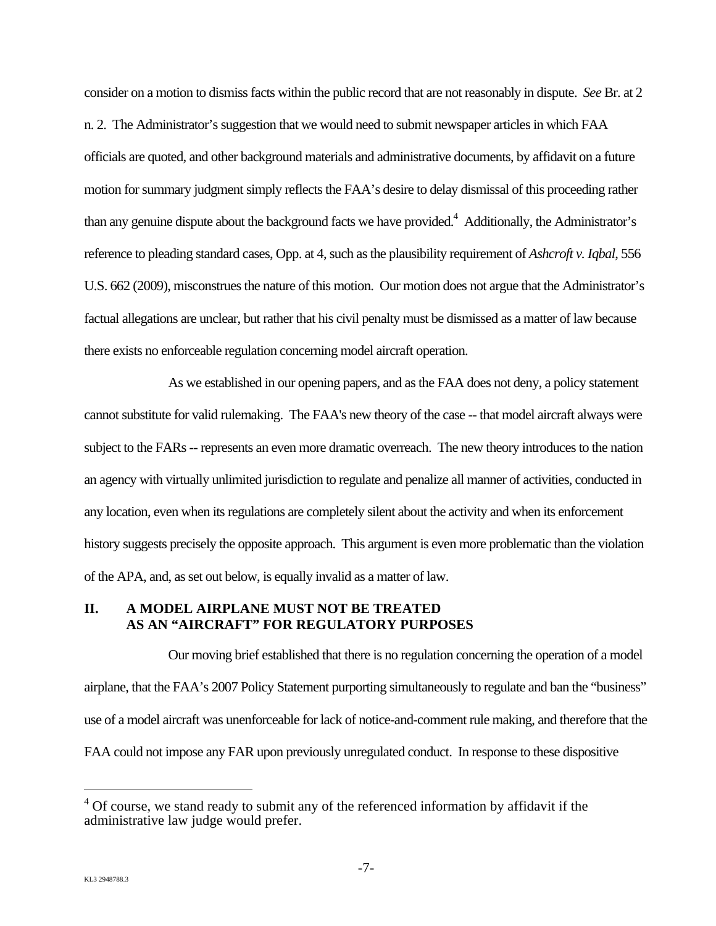consider on a motion to dismiss facts within the public record that are not reasonably in dispute. *See* Br. at 2 n. 2. The Administrator's suggestion that we would need to submit newspaper articles in which FAA officials are quoted, and other background materials and administrative documents, by affidavit on a future motion for summary judgment simply reflects the FAA's desire to delay dismissal of this proceeding rather than any genuine dispute about the background facts we have provided.<sup>4</sup> Additionally, the Administrator's reference to pleading standard cases, Opp. at 4, such as the plausibility requirement of *Ashcroft v. Iqbal*, 556 U.S. 662 (2009), misconstrues the nature of this motion. Our motion does not argue that the Administrator's factual allegations are unclear, but rather that his civil penalty must be dismissed as a matter of law because there exists no enforceable regulation concerning model aircraft operation.

As we established in our opening papers, and as the FAA does not deny, a policy statement cannot substitute for valid rulemaking. The FAA's new theory of the case -- that model aircraft always were subject to the FARs -- represents an even more dramatic overreach. The new theory introduces to the nation an agency with virtually unlimited jurisdiction to regulate and penalize all manner of activities, conducted in any location, even when its regulations are completely silent about the activity and when its enforcement history suggests precisely the opposite approach. This argument is even more problematic than the violation of the APA, and, as set out below, is equally invalid as a matter of law.

#### **II. A MODEL AIRPLANE MUST NOT BE TREATED AS AN "AIRCRAFT" FOR REGULATORY PURPOSES**

Our moving brief established that there is no regulation concerning the operation of a model airplane, that the FAA's 2007 Policy Statement purporting simultaneously to regulate and ban the "business" use of a model aircraft was unenforceable for lack of notice-and-comment rule making, and therefore that the FAA could not impose any FAR upon previously unregulated conduct. In response to these dispositive

 $4^4$  Of course, we stand ready to submit any of the referenced information by affidavit if the administrative law judge would prefer.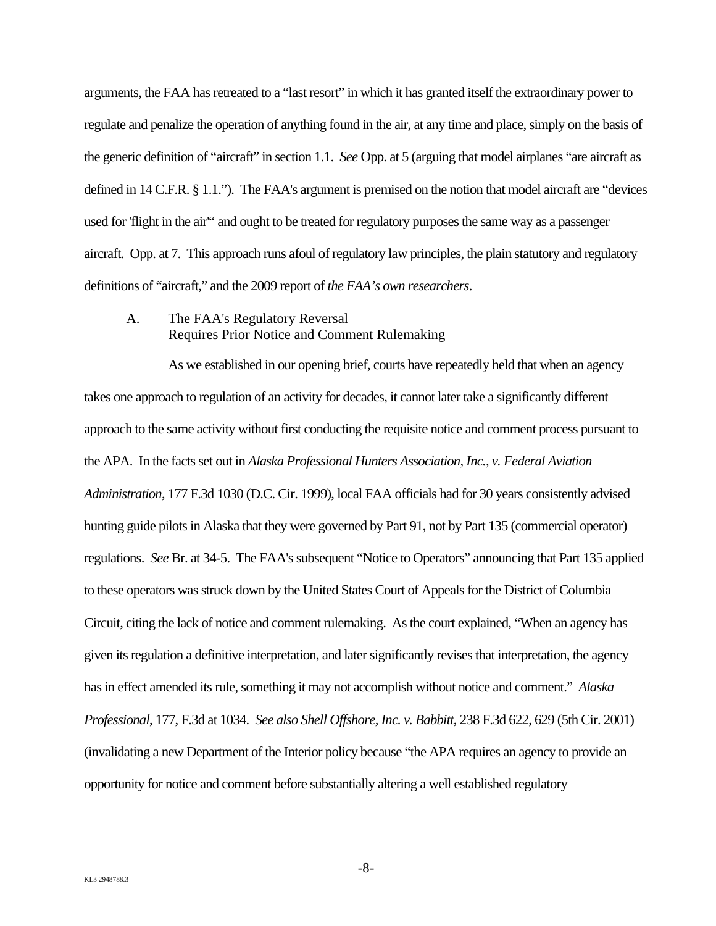arguments, the FAA has retreated to a "last resort" in which it has granted itself the extraordinary power to regulate and penalize the operation of anything found in the air, at any time and place, simply on the basis of the generic definition of "aircraft" in section 1.1. *See* Opp. at 5 (arguing that model airplanes "are aircraft as defined in 14 C.F.R. § 1.1."). The FAA's argument is premised on the notion that model aircraft are "devices used for 'flight in the air'" and ought to be treated for regulatory purposes the same way as a passenger aircraft. Opp. at 7. This approach runs afoul of regulatory law principles, the plain statutory and regulatory definitions of "aircraft," and the 2009 report of *the FAA's own researchers*.

### A. The FAA's Regulatory Reversal Requires Prior Notice and Comment Rulemaking

As we established in our opening brief, courts have repeatedly held that when an agency takes one approach to regulation of an activity for decades, it cannot later take a significantly different approach to the same activity without first conducting the requisite notice and comment process pursuant to the APA. In the facts set out in *Alaska Professional Hunters Association, Inc., v. Federal Aviation Administration*, 177 F.3d 1030 (D.C. Cir. 1999), local FAA officials had for 30 years consistently advised hunting guide pilots in Alaska that they were governed by Part 91, not by Part 135 (commercial operator) regulations. *See* Br. at 34-5. The FAA's subsequent "Notice to Operators" announcing that Part 135 applied to these operators was struck down by the United States Court of Appeals for the District of Columbia Circuit, citing the lack of notice and comment rulemaking. As the court explained, "When an agency has given its regulation a definitive interpretation, and later significantly revises that interpretation, the agency has in effect amended its rule, something it may not accomplish without notice and comment." *Alaska Professional*, 177, F.3d at 1034. *See also Shell Offshore, Inc. v. Babbitt*, 238 F.3d 622, 629 (5th Cir. 2001) (invalidating a new Department of the Interior policy because "the APA requires an agency to provide an opportunity for notice and comment before substantially altering a well established regulatory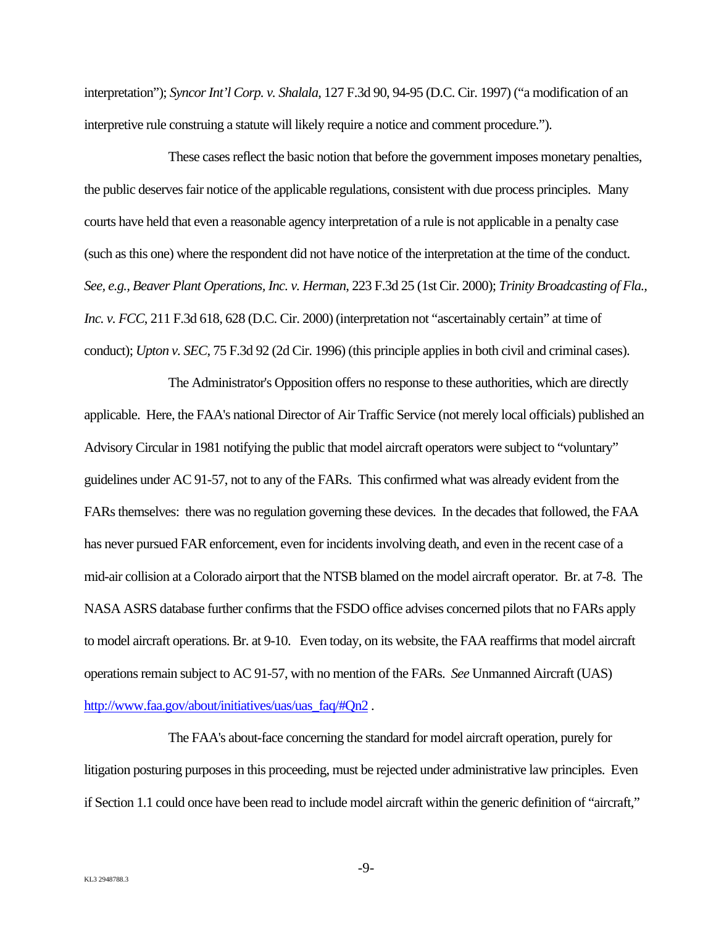interpretation"); *Syncor Int'l Corp. v. Shalala*, 127 F.3d 90, 94-95 (D.C. Cir. 1997) ("a modification of an interpretive rule construing a statute will likely require a notice and comment procedure.").

These cases reflect the basic notion that before the government imposes monetary penalties, the public deserves fair notice of the applicable regulations, consistent with due process principles. Many courts have held that even a reasonable agency interpretation of a rule is not applicable in a penalty case (such as this one) where the respondent did not have notice of the interpretation at the time of the conduct. *See, e.g., Beaver Plant Operations, Inc. v. Herman*, 223 F.3d 25 (1st Cir. 2000); *Trinity Broadcasting of Fla., Inc. v. FCC*, 211 F.3d 618, 628 (D.C. Cir. 2000) (interpretation not "ascertainably certain" at time of conduct); *Upton v. SEC*, 75 F.3d 92 (2d Cir. 1996) (this principle applies in both civil and criminal cases).

The Administrator's Opposition offers no response to these authorities, which are directly applicable. Here, the FAA's national Director of Air Traffic Service (not merely local officials) published an Advisory Circular in 1981 notifying the public that model aircraft operators were subject to "voluntary" guidelines under AC 91-57, not to any of the FARs. This confirmed what was already evident from the FARs themselves: there was no regulation governing these devices. In the decades that followed, the FAA has never pursued FAR enforcement, even for incidents involving death, and even in the recent case of a mid-air collision at a Colorado airport that the NTSB blamed on the model aircraft operator. Br. at 7-8. The NASA ASRS database further confirms that the FSDO office advises concerned pilots that no FARs apply to model aircraft operations. Br. at 9-10. Even today, on its website, the FAA reaffirms that model aircraft operations remain subject to AC 91-57, with no mention of the FARs. *See* Unmanned Aircraft (UAS) http://www.faa.gov/about/initiatives/uas/uas\_faq/#Qn2.

The FAA's about-face concerning the standard for model aircraft operation, purely for litigation posturing purposes in this proceeding, must be rejected under administrative law principles. Even if Section 1.1 could once have been read to include model aircraft within the generic definition of "aircraft,"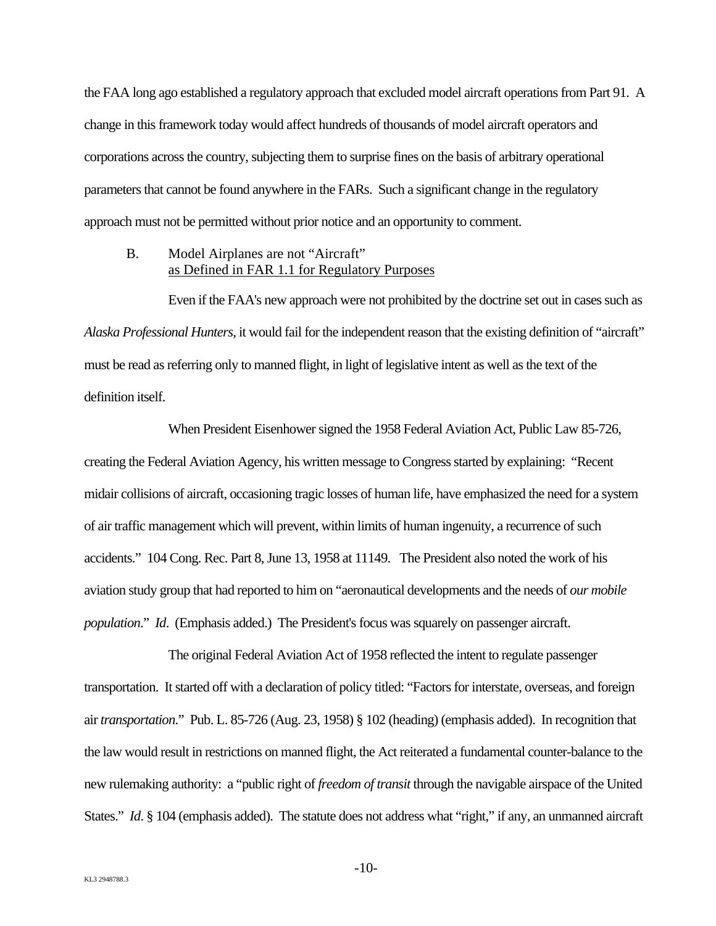the FAA long ago established a regulatory approach that excluded model aircraft operations from Part 91. A change in this framework today would affect hundreds of thousands of model aircraft operators and corporations across the country, subjecting them to surprise fines on the basis of arbitrary operational parameters that cannot be found anywhere in the FARs. Such a significant change in the regulatory approach must not be permitted without prior notice and an opportunity to comment.

#### B. Model Airplanes are not "Aircraft" as Defined in FAR 1.1 for Regulatory Purposes

Even if the FAA's new approach were not prohibited by the doctrine set out in cases such as *Alaska Professional Hunters*, it would fail for the independent reason that the existing definition of "aircraft" must be read as referring only to manned flight, in light of legislative intent as well as the text of the definition itself.

When President Eisenhower signed the 1958 Federal Aviation Act, Public Law 85-726, creating the Federal Aviation Agency, his written message to Congress started by explaining: "Recent midair collisions of aircraft, occasioning tragic losses of human life, have emphasized the need for a system of air traffic management which will prevent, within limits of human ingenuity, a recurrence of such accidents." 104 Cong. Rec. Part 8, June 13, 1958 at 11149. The President also noted the work of his aviation study group that had reported to him on "aeronautical developments and the needs of *our mobile population*." *Id*. (Emphasis added.) The President's focus was squarely on passenger aircraft.

The original Federal Aviation Act of 1958 reflected the intent to regulate passenger transportation. It started off with a declaration of policy titled: "Factors for interstate, overseas, and foreign air *transportation*." Pub. L. 85-726 (Aug. 23, 1958) § 102 (heading) (emphasis added). In recognition that the law would result in restrictions on manned flight, the Act reiterated a fundamental counter-balance to the new rulemaking authority: a "public right of *freedom of transit* through the navigable airspace of the United States." *Id.* § 104 (emphasis added). The statute does not address what "right," if any, an unmanned aircraft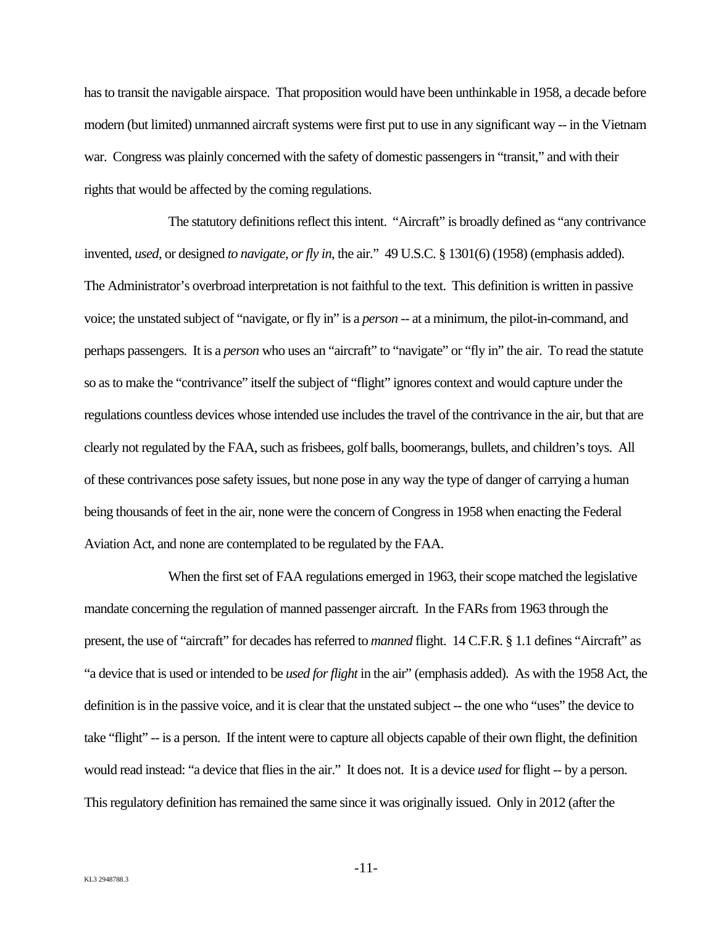has to transit the navigable airspace. That proposition would have been unthinkable in 1958, a decade before modern (but limited) unmanned aircraft systems were first put to use in any significant way -- in the Vietnam war. Congress was plainly concerned with the safety of domestic passengers in "transit," and with their rights that would be affected by the coming regulations.

The statutory definitions reflect this intent. "Aircraft" is broadly defined as "any contrivance invented, *used*, or designed *to navigate, or fly in*, the air." 49 U.S.C. § 1301(6) (1958) (emphasis added). The Administrator's overbroad interpretation is not faithful to the text. This definition is written in passive voice; the unstated subject of "navigate, or fly in" is a *person* -- at a minimum, the pilot-in-command, and perhaps passengers. It is a *person* who uses an "aircraft" to "navigate" or "fly in" the air. To read the statute so as to make the "contrivance" itself the subject of "flight" ignores context and would capture under the regulations countless devices whose intended use includes the travel of the contrivance in the air, but that are clearly not regulated by the FAA, such as frisbees, golf balls, boomerangs, bullets, and children's toys. All of these contrivances pose safety issues, but none pose in any way the type of danger of carrying a human being thousands of feet in the air, none were the concern of Congress in 1958 when enacting the Federal Aviation Act, and none are contemplated to be regulated by the FAA.

When the first set of FAA regulations emerged in 1963, their scope matched the legislative mandate concerning the regulation of manned passenger aircraft. In the FARs from 1963 through the present, the use of "aircraft" for decades has referred to *manned* flight. 14 C.F.R. § 1.1 defines "Aircraft" as "a device that is used or intended to be *used for flight* in the air" (emphasis added). As with the 1958 Act, the definition is in the passive voice, and it is clear that the unstated subject -- the one who "uses" the device to take "flight" -- is a person. If the intent were to capture all objects capable of their own flight, the definition would read instead: "a device that flies in the air." It does not. It is a device *used* for flight -- by a person. This regulatory definition has remained the same since it was originally issued. Only in 2012 (after the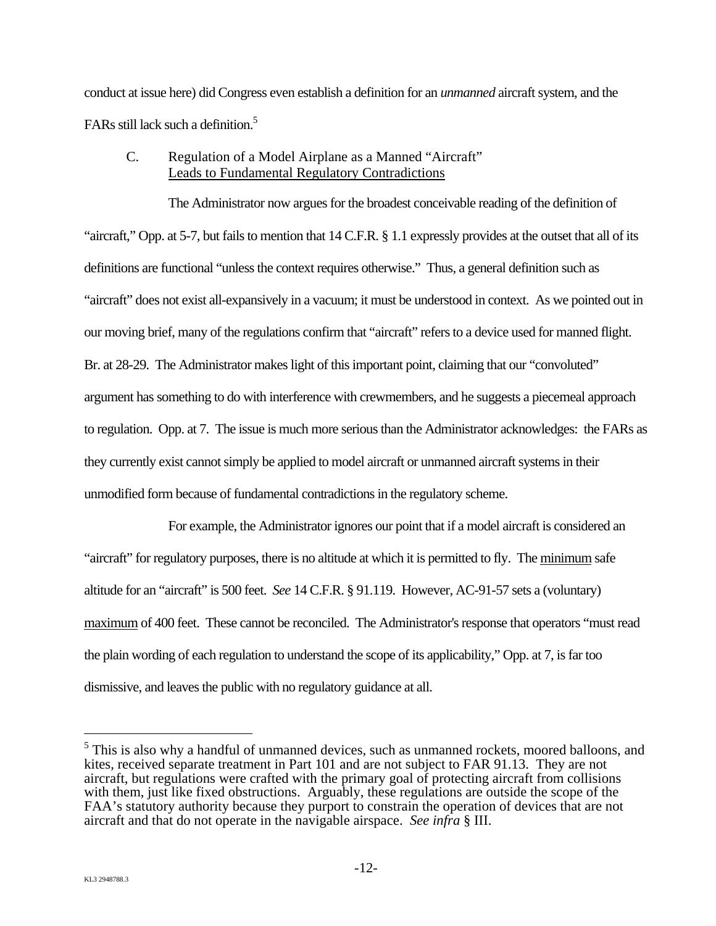conduct at issue here) did Congress even establish a definition for an *unmanned* aircraft system, and the FARs still lack such a definition.<sup>5</sup>

## C. Regulation of a Model Airplane as a Manned "Aircraft" Leads to Fundamental Regulatory Contradictions

The Administrator now argues for the broadest conceivable reading of the definition of "aircraft," Opp. at 5-7, but fails to mention that 14 C.F.R. § 1.1 expressly provides at the outset that all of its definitions are functional "unless the context requires otherwise." Thus, a general definition such as "aircraft" does not exist all-expansively in a vacuum; it must be understood in context. As we pointed out in our moving brief, many of the regulations confirm that "aircraft" refers to a device used for manned flight. Br. at 28-29. The Administrator makes light of this important point, claiming that our "convoluted" argument has something to do with interference with crewmembers, and he suggests a piecemeal approach to regulation. Opp. at 7. The issue is much more serious than the Administrator acknowledges: the FARs as they currently exist cannot simply be applied to model aircraft or unmanned aircraft systems in their unmodified form because of fundamental contradictions in the regulatory scheme.

For example, the Administrator ignores our point that if a model aircraft is considered an "aircraft" for regulatory purposes, there is no altitude at which it is permitted to fly. The minimum safe altitude for an "aircraft" is 500 feet. *See* 14 C.F.R. § 91.119. However, AC-91-57 sets a (voluntary) maximum of 400 feet. These cannot be reconciled. The Administrator's response that operators "must read the plain wording of each regulation to understand the scope of its applicability," Opp. at 7, is far too dismissive, and leaves the public with no regulatory guidance at all.

1

<sup>&</sup>lt;sup>5</sup> This is also why a handful of unmanned devices, such as unmanned rockets, moored balloons, and kites, received separate treatment in Part 101 and are not subject to FAR 91.13. They are not aircraft, but regulations were crafted with the primary goal of protecting aircraft from collisions with them, just like fixed obstructions. Arguably, these regulations are outside the scope of the FAA's statutory authority because they purport to constrain the operation of devices that are not aircraft and that do not operate in the navigable airspace. *See infra* § III.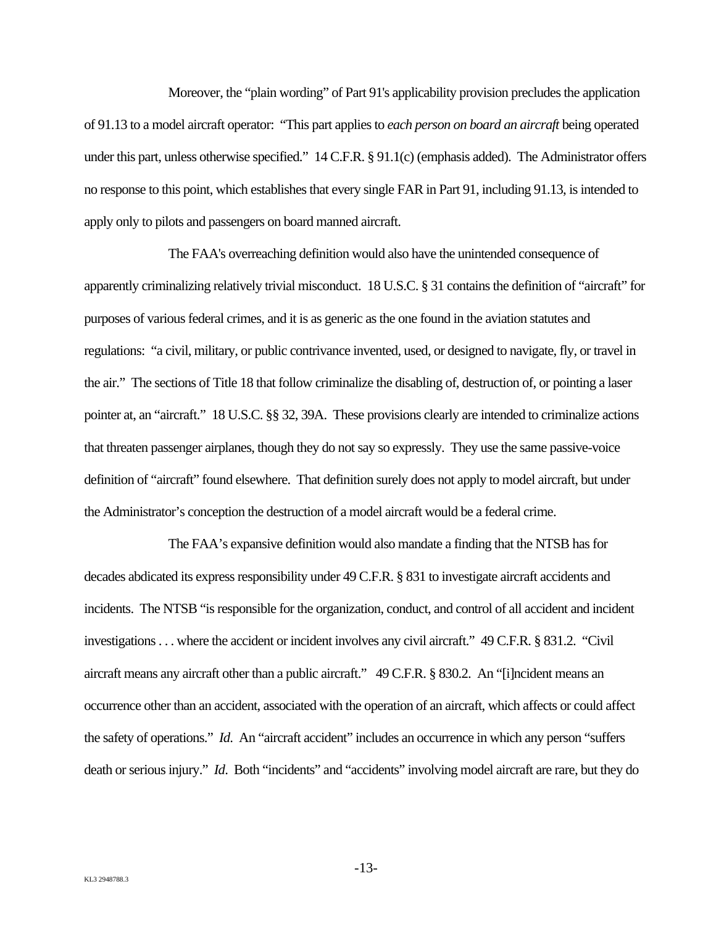Moreover, the "plain wording" of Part 91's applicability provision precludes the application of 91.13 to a model aircraft operator: "This part applies to *each person on board an aircraft* being operated under this part, unless otherwise specified." 14 C.F.R. § 91.1(c) (emphasis added). The Administrator offers no response to this point, which establishes that every single FAR in Part 91, including 91.13, is intended to apply only to pilots and passengers on board manned aircraft.

The FAA's overreaching definition would also have the unintended consequence of apparently criminalizing relatively trivial misconduct. 18 U.S.C. § 31 contains the definition of "aircraft" for purposes of various federal crimes, and it is as generic as the one found in the aviation statutes and regulations: "a civil, military, or public contrivance invented, used, or designed to navigate, fly, or travel in the air." The sections of Title 18 that follow criminalize the disabling of, destruction of, or pointing a laser pointer at, an "aircraft." 18 U.S.C. §§ 32, 39A. These provisions clearly are intended to criminalize actions that threaten passenger airplanes, though they do not say so expressly. They use the same passive-voice definition of "aircraft" found elsewhere. That definition surely does not apply to model aircraft, but under the Administrator's conception the destruction of a model aircraft would be a federal crime.

The FAA's expansive definition would also mandate a finding that the NTSB has for decades abdicated its express responsibility under 49 C.F.R. § 831 to investigate aircraft accidents and incidents. The NTSB "is responsible for the organization, conduct, and control of all accident and incident investigations . . . where the accident or incident involves any civil aircraft." 49 C.F.R. § 831.2. "Civil aircraft means any aircraft other than a public aircraft." 49 C.F.R. § 830.2. An "[i]ncident means an occurrence other than an accident, associated with the operation of an aircraft, which affects or could affect the safety of operations." *Id*. An "aircraft accident" includes an occurrence in which any person "suffers death or serious injury." *Id*. Both "incidents" and "accidents" involving model aircraft are rare, but they do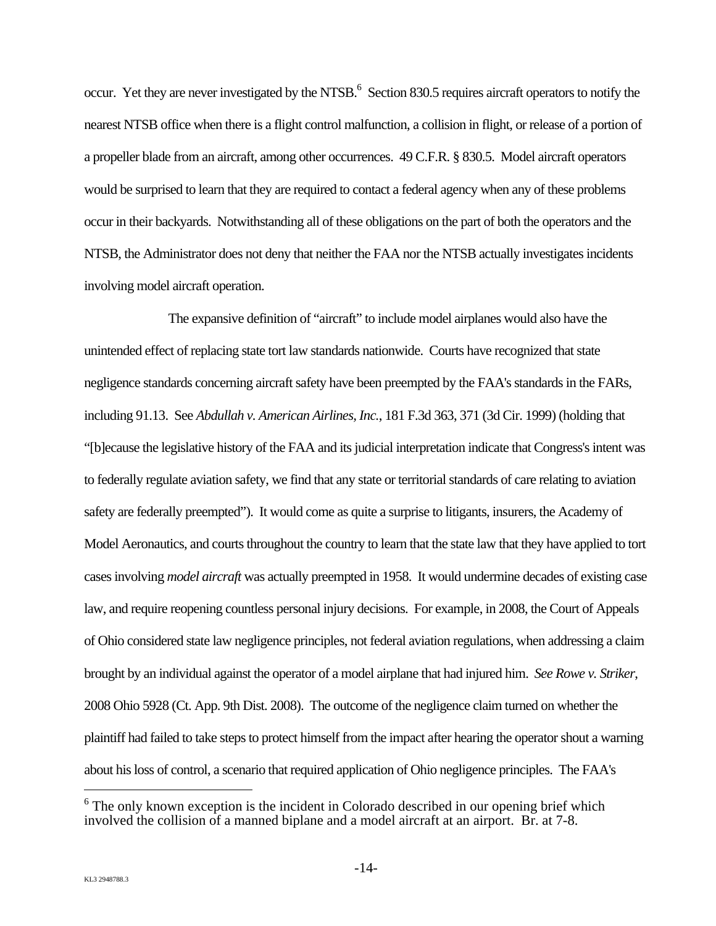occur. Yet they are never investigated by the NTSB.<sup>6</sup> Section 830.5 requires aircraft operators to notify the nearest NTSB office when there is a flight control malfunction, a collision in flight, or release of a portion of a propeller blade from an aircraft, among other occurrences. 49 C.F.R. § 830.5. Model aircraft operators would be surprised to learn that they are required to contact a federal agency when any of these problems occur in their backyards. Notwithstanding all of these obligations on the part of both the operators and the NTSB, the Administrator does not deny that neither the FAA nor the NTSB actually investigates incidents involving model aircraft operation.

The expansive definition of "aircraft" to include model airplanes would also have the unintended effect of replacing state tort law standards nationwide. Courts have recognized that state negligence standards concerning aircraft safety have been preempted by the FAA's standards in the FARs, including 91.13. See *Abdullah v. American Airlines, Inc.*, 181 F.3d 363, 371 (3d Cir. 1999) (holding that "[b]ecause the legislative history of the FAA and its judicial interpretation indicate that Congress's intent was to federally regulate aviation safety, we find that any state or territorial standards of care relating to aviation safety are federally preempted"). It would come as quite a surprise to litigants, insurers, the Academy of Model Aeronautics, and courts throughout the country to learn that the state law that they have applied to tort cases involving *model aircraft* was actually preempted in 1958. It would undermine decades of existing case law, and require reopening countless personal injury decisions. For example, in 2008, the Court of Appeals of Ohio considered state law negligence principles, not federal aviation regulations, when addressing a claim brought by an individual against the operator of a model airplane that had injured him. *See Rowe v. Striker*, 2008 Ohio 5928 (Ct. App. 9th Dist. 2008). The outcome of the negligence claim turned on whether the plaintiff had failed to take steps to protect himself from the impact after hearing the operator shout a warning about his loss of control, a scenario that required application of Ohio negligence principles. The FAA's

 $6$  The only known exception is the incident in Colorado described in our opening brief which involved the collision of a manned biplane and a model aircraft at an airport. Br. at 7-8.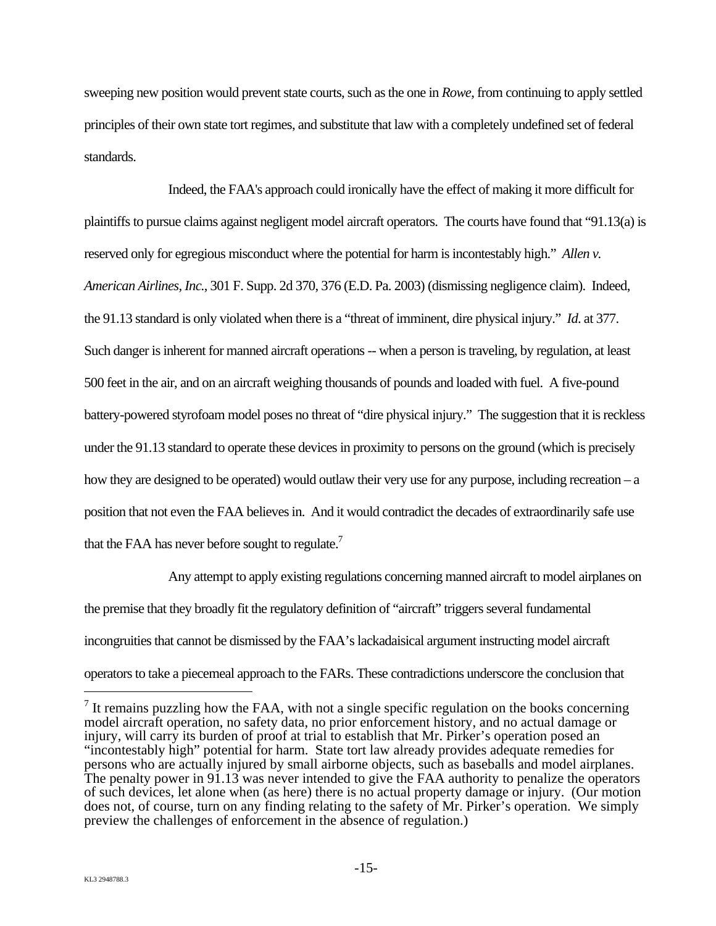sweeping new position would prevent state courts, such as the one in *Rowe*, from continuing to apply settled principles of their own state tort regimes, and substitute that law with a completely undefined set of federal standards.

Indeed, the FAA's approach could ironically have the effect of making it more difficult for plaintiffs to pursue claims against negligent model aircraft operators. The courts have found that "91.13(a) is reserved only for egregious misconduct where the potential for harm is incontestably high." *Allen v. American Airlines, Inc.*, 301 F. Supp. 2d 370, 376 (E.D. Pa. 2003) (dismissing negligence claim). Indeed, the 91.13 standard is only violated when there is a "threat of imminent, dire physical injury." *Id*. at 377. Such danger is inherent for manned aircraft operations -- when a person is traveling, by regulation, at least 500 feet in the air, and on an aircraft weighing thousands of pounds and loaded with fuel. A five-pound battery-powered styrofoam model poses no threat of "dire physical injury." The suggestion that it is reckless under the 91.13 standard to operate these devices in proximity to persons on the ground (which is precisely how they are designed to be operated) would outlaw their very use for any purpose, including recreation – a position that not even the FAA believes in. And it would contradict the decades of extraordinarily safe use that the FAA has never before sought to regulate. $<sup>7</sup>$ </sup>

Any attempt to apply existing regulations concerning manned aircraft to model airplanes on the premise that they broadly fit the regulatory definition of "aircraft" triggers several fundamental incongruities that cannot be dismissed by the FAA's lackadaisical argument instructing model aircraft operators to take a piecemeal approach to the FARs. These contradictions underscore the conclusion that

 $<sup>7</sup>$  It remains puzzling how the FAA, with not a single specific regulation on the books concerning</sup> model aircraft operation, no safety data, no prior enforcement history, and no actual damage or injury, will carry its burden of proof at trial to establish that Mr. Pirker's operation posed an "incontestably high" potential for harm. State tort law already provides adequate remedies for persons who are actually injured by small airborne objects, such as baseballs and model airplanes. The penalty power in 91.13 was never intended to give the FAA authority to penalize the operators of such devices, let alone when (as here) there is no actual property damage or injury. (Our motion does not, of course, turn on any finding relating to the safety of Mr. Pirker's operation. We simply preview the challenges of enforcement in the absence of regulation.)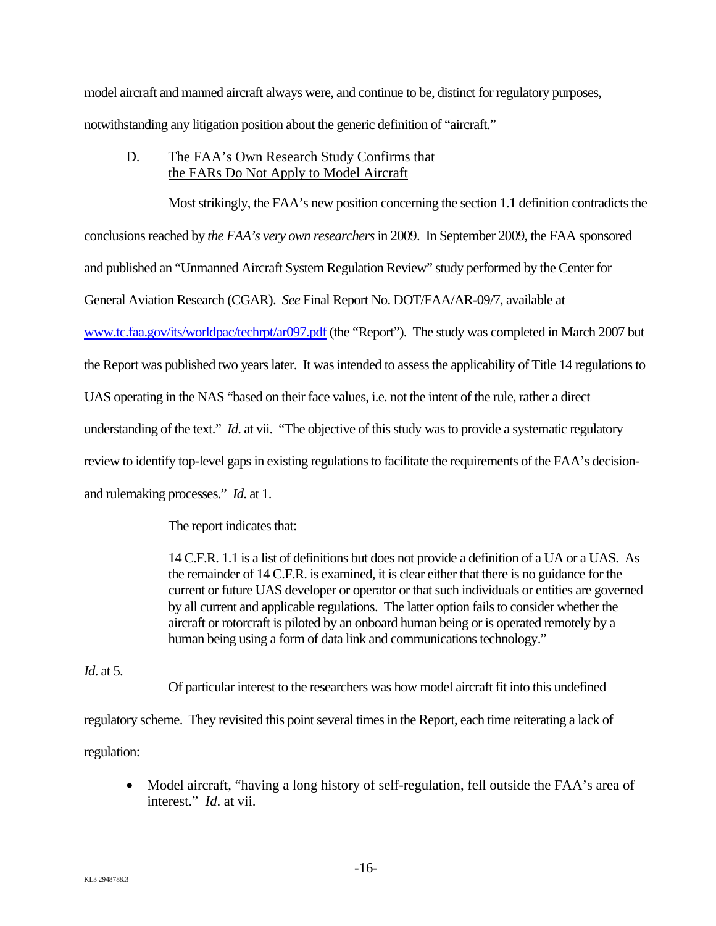model aircraft and manned aircraft always were, and continue to be, distinct for regulatory purposes, notwithstanding any litigation position about the generic definition of "aircraft."

D. The FAA's Own Research Study Confirms that the FARs Do Not Apply to Model Aircraft

Most strikingly, the FAA's new position concerning the section 1.1 definition contradicts the conclusions reached by *the FAA's very own researchers* in 2009. In September 2009, the FAA sponsored and published an "Unmanned Aircraft System Regulation Review" study performed by the Center for General Aviation Research (CGAR). *See* Final Report No. DOT/FAA/AR-09/7, available at www.tc.faa.gov/its/worldpac/techrpt/ar097.pdf (the "Report"). The study was completed in March 2007 but the Report was published two years later. It was intended to assess the applicability of Title 14 regulations to UAS operating in the NAS "based on their face values, i.e. not the intent of the rule, rather a direct understanding of the text." *Id*. at vii. "The objective of this study was to provide a systematic regulatory review to identify top-level gaps in existing regulations to facilitate the requirements of the FAA's decisionand rulemaking processes." *Id*. at 1.

The report indicates that:

14 C.F.R. 1.1 is a list of definitions but does not provide a definition of a UA or a UAS. As the remainder of 14 C.F.R. is examined, it is clear either that there is no guidance for the current or future UAS developer or operator or that such individuals or entities are governed by all current and applicable regulations. The latter option fails to consider whether the aircraft or rotorcraft is piloted by an onboard human being or is operated remotely by a human being using a form of data link and communications technology."

#### *Id*. at 5.

Of particular interest to the researchers was how model aircraft fit into this undefined

regulatory scheme. They revisited this point several times in the Report, each time reiterating a lack of regulation:

• Model aircraft, "having a long history of self-regulation, fell outside the FAA's area of interest." *Id*. at vii.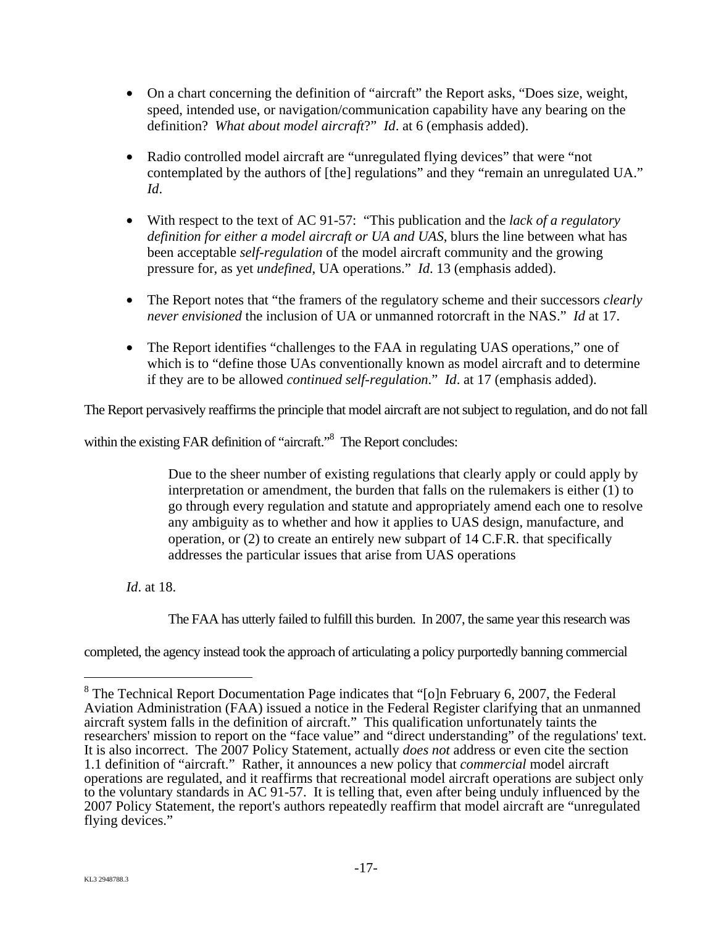- On a chart concerning the definition of "aircraft" the Report asks, "Does size, weight, speed, intended use, or navigation/communication capability have any bearing on the definition? *What about model aircraft*?" *Id*. at 6 (emphasis added).
- Radio controlled model aircraft are "unregulated flying devices" that were "not contemplated by the authors of [the] regulations" and they "remain an unregulated UA." *Id*.
- With respect to the text of AC 91-57: "This publication and the *lack of a regulatory definition for either a model aircraft or UA and UAS*, blurs the line between what has been acceptable *self-regulation* of the model aircraft community and the growing pressure for, as yet *undefined*, UA operations." *Id*. 13 (emphasis added).
- The Report notes that "the framers of the regulatory scheme and their successors *clearly never envisioned* the inclusion of UA or unmanned rotorcraft in the NAS." *Id* at 17.
- The Report identifies "challenges to the FAA in regulating UAS operations," one of which is to "define those UAs conventionally known as model aircraft and to determine if they are to be allowed *continued self-regulation*." *Id*. at 17 (emphasis added).

The Report pervasively reaffirms the principle that model aircraft are not subject to regulation, and do not fall

within the existing FAR definition of "aircraft."<sup>8</sup> The Report concludes:

Due to the sheer number of existing regulations that clearly apply or could apply by interpretation or amendment, the burden that falls on the rulemakers is either (1) to go through every regulation and statute and appropriately amend each one to resolve any ambiguity as to whether and how it applies to UAS design, manufacture, and operation, or (2) to create an entirely new subpart of 14 C.F.R. that specifically addresses the particular issues that arise from UAS operations

*Id*. at 18.

The FAA has utterly failed to fulfill this burden. In 2007, the same year this research was

completed, the agency instead took the approach of articulating a policy purportedly banning commercial

<sup>&</sup>lt;sup>8</sup> The Technical Report Documentation Page indicates that "[o]n February 6, 2007, the Federal Aviation Administration (FAA) issued a notice in the Federal Register clarifying that an unmanned aircraft system falls in the definition of aircraft." This qualification unfortunately taints the researchers' mission to report on the "face value" and "direct understanding" of the regulations' text. It is also incorrect. The 2007 Policy Statement, actually *does not* address or even cite the section 1.1 definition of "aircraft." Rather, it announces a new policy that *commercial* model aircraft operations are regulated, and it reaffirms that recreational model aircraft operations are subject only to the voluntary standards in AC 91-57. It is telling that, even after being unduly influenced by the 2007 Policy Statement, the report's authors repeatedly reaffirm that model aircraft are "unregulated flying devices."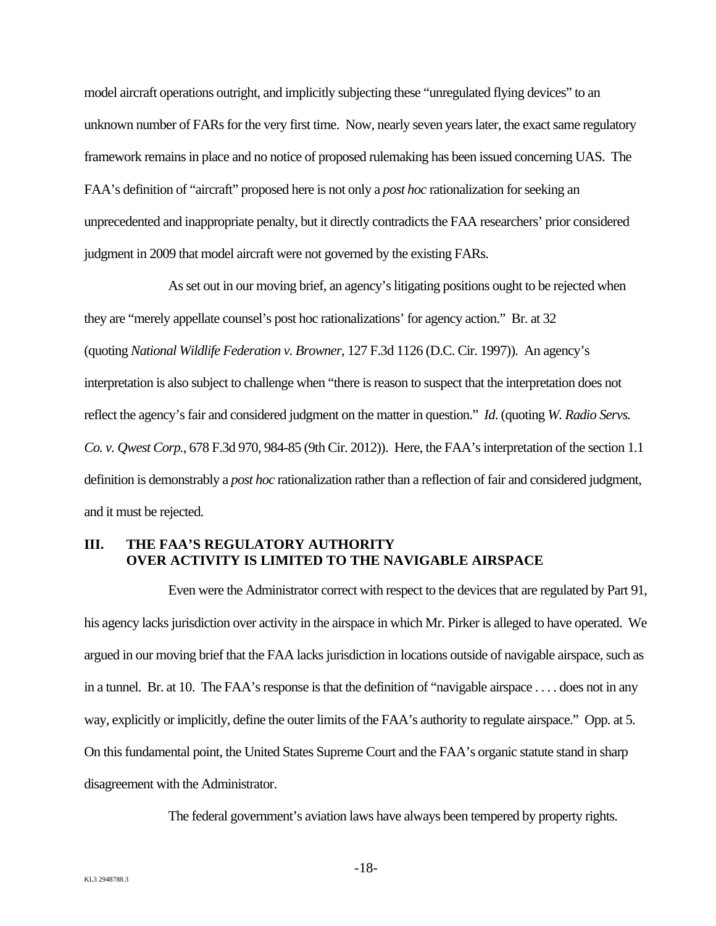model aircraft operations outright, and implicitly subjecting these "unregulated flying devices" to an unknown number of FARs for the very first time. Now, nearly seven years later, the exact same regulatory framework remains in place and no notice of proposed rulemaking has been issued concerning UAS. The FAA's definition of "aircraft" proposed here is not only a *post hoc* rationalization for seeking an unprecedented and inappropriate penalty, but it directly contradicts the FAA researchers' prior considered judgment in 2009 that model aircraft were not governed by the existing FARs.

As set out in our moving brief, an agency's litigating positions ought to be rejected when they are "merely appellate counsel's post hoc rationalizations' for agency action." Br. at 32 (quoting *National Wildlife Federation v. Browner*, 127 F.3d 1126 (D.C. Cir. 1997)). An agency's interpretation is also subject to challenge when "there is reason to suspect that the interpretation does not reflect the agency's fair and considered judgment on the matter in question." *Id*. (quoting *W. Radio Servs. Co. v. Qwest Corp.*, 678 F.3d 970, 984-85 (9th Cir. 2012)). Here, the FAA's interpretation of the section 1.1 definition is demonstrably a *post hoc* rationalization rather than a reflection of fair and considered judgment, and it must be rejected.

### **III. THE FAA'S REGULATORY AUTHORITY OVER ACTIVITY IS LIMITED TO THE NAVIGABLE AIRSPACE**

Even were the Administrator correct with respect to the devices that are regulated by Part 91, his agency lacks jurisdiction over activity in the airspace in which Mr. Pirker is alleged to have operated. We argued in our moving brief that the FAA lacks jurisdiction in locations outside of navigable airspace, such as in a tunnel. Br. at 10. The FAA's response is that the definition of "navigable airspace . . . . does not in any way, explicitly or implicitly, define the outer limits of the FAA's authority to regulate airspace." Opp. at 5. On this fundamental point, the United States Supreme Court and the FAA's organic statute stand in sharp disagreement with the Administrator.

The federal government's aviation laws have always been tempered by property rights.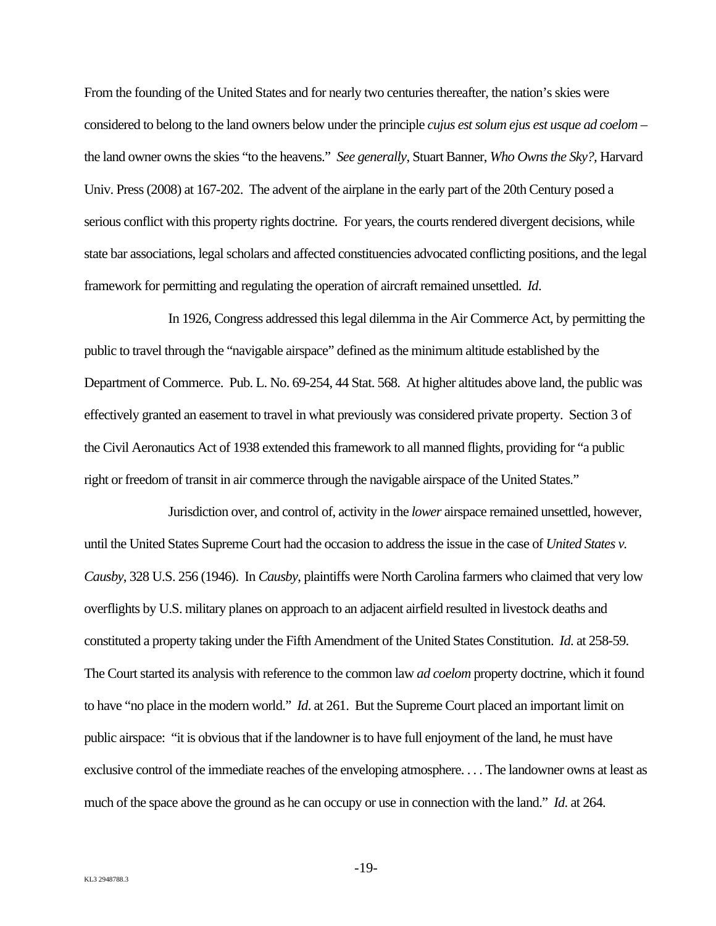From the founding of the United States and for nearly two centuries thereafter, the nation's skies were considered to belong to the land owners below under the principle *cujus est solum ejus est usque ad coelom* – the land owner owns the skies "to the heavens." *See generally*, Stuart Banner, *Who Owns the Sky?,* Harvard Univ. Press (2008) at 167-202. The advent of the airplane in the early part of the 20th Century posed a serious conflict with this property rights doctrine. For years, the courts rendered divergent decisions, while state bar associations, legal scholars and affected constituencies advocated conflicting positions, and the legal framework for permitting and regulating the operation of aircraft remained unsettled. *Id*.

In 1926, Congress addressed this legal dilemma in the Air Commerce Act, by permitting the public to travel through the "navigable airspace" defined as the minimum altitude established by the Department of Commerce. Pub. L. No. 69-254, 44 Stat. 568. At higher altitudes above land, the public was effectively granted an easement to travel in what previously was considered private property. Section 3 of the Civil Aeronautics Act of 1938 extended this framework to all manned flights, providing for "a public right or freedom of transit in air commerce through the navigable airspace of the United States."

Jurisdiction over, and control of, activity in the *lower* airspace remained unsettled, however, until the United States Supreme Court had the occasion to address the issue in the case of *United States v. Causby*, 328 U.S. 256 (1946). In *Causby*, plaintiffs were North Carolina farmers who claimed that very low overflights by U.S. military planes on approach to an adjacent airfield resulted in livestock deaths and constituted a property taking under the Fifth Amendment of the United States Constitution. *Id*. at 258-59. The Court started its analysis with reference to the common law *ad coelom* property doctrine, which it found to have "no place in the modern world." *Id*. at 261. But the Supreme Court placed an important limit on public airspace: "it is obvious that if the landowner is to have full enjoyment of the land, he must have exclusive control of the immediate reaches of the enveloping atmosphere. . . . The landowner owns at least as much of the space above the ground as he can occupy or use in connection with the land." *Id*. at 264.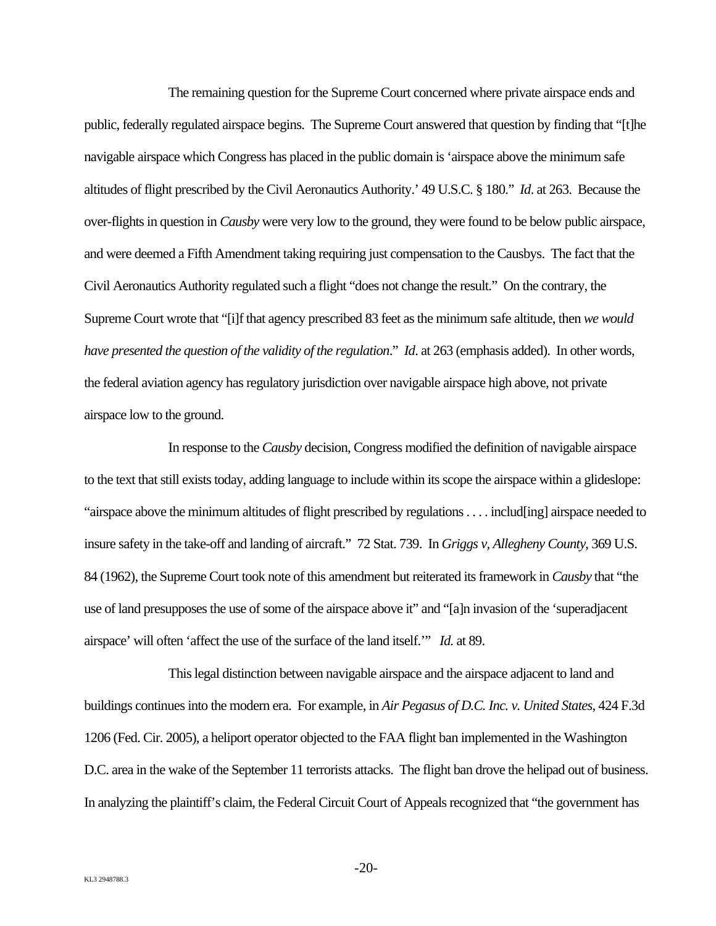The remaining question for the Supreme Court concerned where private airspace ends and public, federally regulated airspace begins. The Supreme Court answered that question by finding that "[t]he navigable airspace which Congress has placed in the public domain is 'airspace above the minimum safe altitudes of flight prescribed by the Civil Aeronautics Authority.' 49 U.S.C. § 180." *Id*. at 263. Because the over-flights in question in *Causby* were very low to the ground, they were found to be below public airspace, and were deemed a Fifth Amendment taking requiring just compensation to the Causbys. The fact that the Civil Aeronautics Authority regulated such a flight "does not change the result." On the contrary, the Supreme Court wrote that "[i]f that agency prescribed 83 feet as the minimum safe altitude, then *we would have presented the question of the validity of the regulation*." *Id*. at 263 (emphasis added). In other words, the federal aviation agency has regulatory jurisdiction over navigable airspace high above, not private airspace low to the ground.

In response to the *Causby* decision, Congress modified the definition of navigable airspace to the text that still exists today, adding language to include within its scope the airspace within a glideslope: "airspace above the minimum altitudes of flight prescribed by regulations . . . . includ[ing] airspace needed to insure safety in the take-off and landing of aircraft." 72 Stat. 739. In *Griggs v, Allegheny County*, 369 U.S. 84 (1962), the Supreme Court took note of this amendment but reiterated its framework in *Causby* that "the use of land presupposes the use of some of the airspace above it" and "[a]n invasion of the 'superadjacent airspace' will often 'affect the use of the surface of the land itself.'" *Id.* at 89.

This legal distinction between navigable airspace and the airspace adjacent to land and buildings continues into the modern era. For example, in *Air Pegasus of D.C. Inc. v. United States*, 424 F.3d 1206 (Fed. Cir. 2005), a heliport operator objected to the FAA flight ban implemented in the Washington D.C. area in the wake of the September 11 terrorists attacks. The flight ban drove the helipad out of business. In analyzing the plaintiff's claim, the Federal Circuit Court of Appeals recognized that "the government has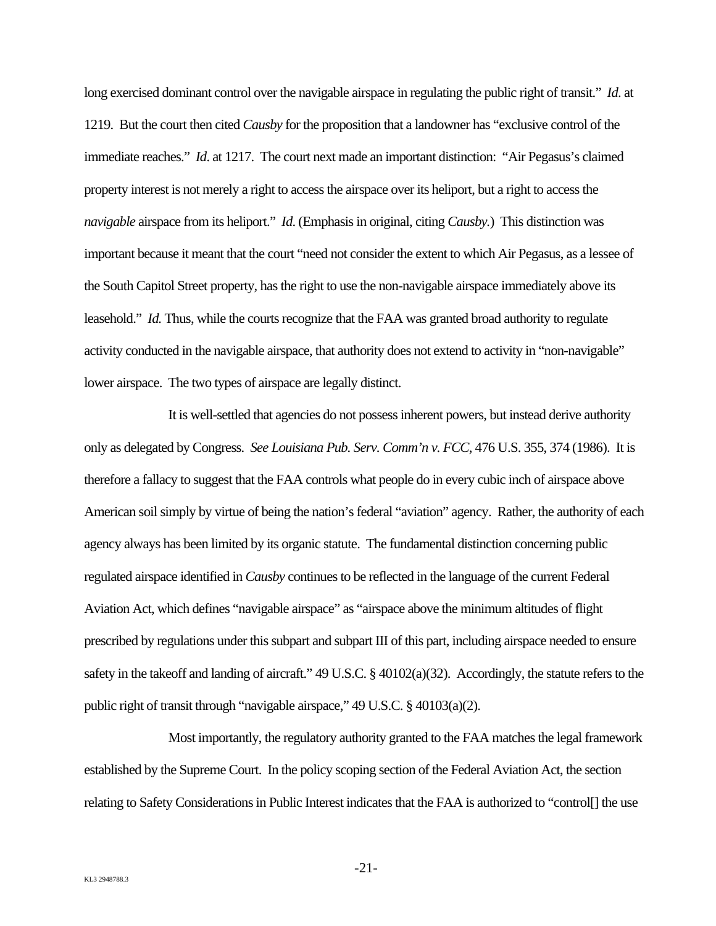long exercised dominant control over the navigable airspace in regulating the public right of transit." *Id*. at 1219. But the court then cited *Causby* for the proposition that a landowner has "exclusive control of the immediate reaches." *Id*. at 1217. The court next made an important distinction: "Air Pegasus's claimed property interest is not merely a right to access the airspace over its heliport, but a right to access the *navigable* airspace from its heliport." *Id*. (Emphasis in original, citing *Causby.*) This distinction was important because it meant that the court "need not consider the extent to which Air Pegasus, as a lessee of the South Capitol Street property, has the right to use the non-navigable airspace immediately above its leasehold." *Id.* Thus, while the courts recognize that the FAA was granted broad authority to regulate activity conducted in the navigable airspace, that authority does not extend to activity in "non-navigable" lower airspace. The two types of airspace are legally distinct.

It is well-settled that agencies do not possess inherent powers, but instead derive authority only as delegated by Congress. *See Louisiana Pub. Serv. Comm'n v. FCC*, 476 U.S. 355, 374 (1986). It is therefore a fallacy to suggest that the FAA controls what people do in every cubic inch of airspace above American soil simply by virtue of being the nation's federal "aviation" agency. Rather, the authority of each agency always has been limited by its organic statute. The fundamental distinction concerning public regulated airspace identified in *Causby* continues to be reflected in the language of the current Federal Aviation Act, which defines "navigable airspace" as "airspace above the minimum altitudes of flight prescribed by regulations under this subpart and subpart III of this part, including airspace needed to ensure safety in the takeoff and landing of aircraft."  $49 \text{ U.S.C.} \$   $\frac{40102(a)(32)}{20}$ . Accordingly, the statute refers to the public right of transit through "navigable airspace," 49 U.S.C. § 40103(a)(2).

Most importantly, the regulatory authority granted to the FAA matches the legal framework established by the Supreme Court. In the policy scoping section of the Federal Aviation Act, the section relating to Safety Considerations in Public Interest indicates that the FAA is authorized to "control[] the use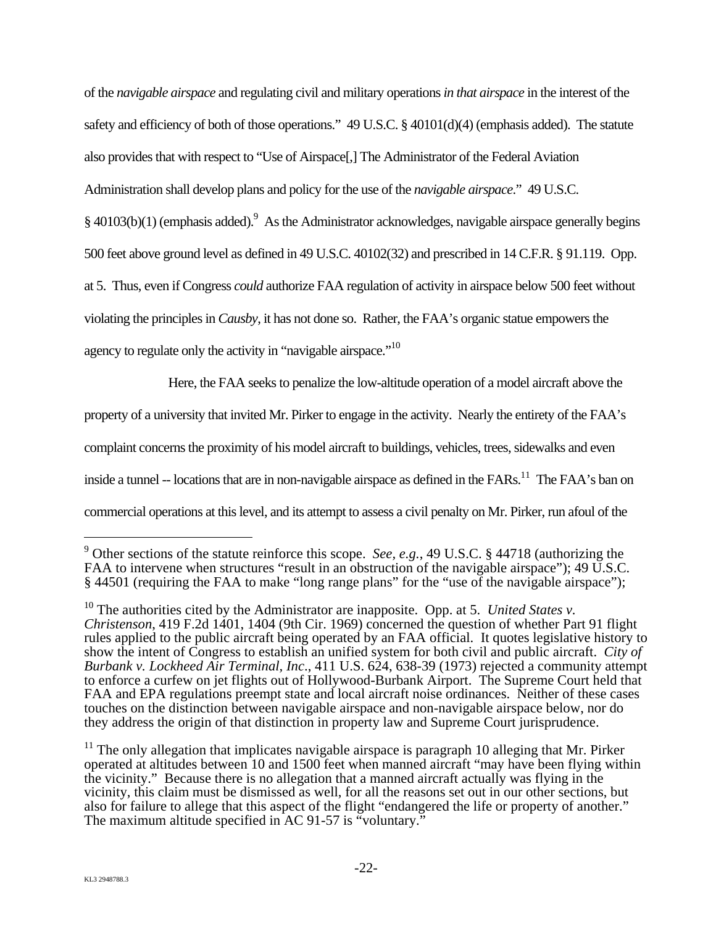of the *navigable airspace* and regulating civil and military operations *in that airspace* in the interest of the safety and efficiency of both of those operations." 49 U.S.C. § 40101(d)(4) (emphasis added). The statute also provides that with respect to "Use of Airspace[,] The Administrator of the Federal Aviation Administration shall develop plans and policy for the use of the *navigable airspace*." 49 U.S.C.  $§$  40103(b)(1) (emphasis added).<sup>9</sup> As the Administrator acknowledges, navigable airspace generally begins 500 feet above ground level as defined in 49 U.S.C. 40102(32) and prescribed in 14 C.F.R. § 91.119. Opp. at 5. Thus, even if Congress *could* authorize FAA regulation of activity in airspace below 500 feet without violating the principles in *Causby*, it has not done so. Rather, the FAA's organic statue empowers the

agency to regulate only the activity in "navigable airspace."<sup>10</sup>

Here, the FAA seeks to penalize the low-altitude operation of a model aircraft above the

property of a university that invited Mr. Pirker to engage in the activity. Nearly the entirety of the FAA's

complaint concerns the proximity of his model aircraft to buildings, vehicles, trees, sidewalks and even

inside a tunnel -- locations that are in non-navigable airspace as defined in the FARs.<sup>11</sup> The FAA's ban on

commercial operations at this level, and its attempt to assess a civil penalty on Mr. Pirker, run afoul of the

1

<sup>9</sup> Other sections of the statute reinforce this scope. *See, e.g.*, 49 U.S.C. § 44718 (authorizing the FAA to intervene when structures "result in an obstruction of the navigable airspace"); 49 U.S.C. § 44501 (requiring the FAA to make "long range plans" for the "use of the navigable airspace");

<sup>&</sup>lt;sup>10</sup> The authorities cited by the Administrator are inapposite. Opp. at 5. *United States v*. *Christenson*, 419 F.2d 1401, 1404 (9th Cir. 1969) concerned the question of whether Part 91 flight rules applied to the public aircraft being operated by an FAA official. It quotes legislative history to show the intent of Congress to establish an unified system for both civil and public aircraft. *City of Burbank v. Lockheed Air Terminal, Inc*., 411 U.S. 624, 638-39 (1973) rejected a community attempt to enforce a curfew on jet flights out of Hollywood-Burbank Airport. The Supreme Court held that FAA and EPA regulations preempt state and local aircraft noise ordinances. Neither of these cases touches on the distinction between navigable airspace and non-navigable airspace below, nor do they address the origin of that distinction in property law and Supreme Court jurisprudence.

 $11$  The only allegation that implicates navigable airspace is paragraph 10 alleging that Mr. Pirker operated at altitudes between 10 and 1500 feet when manned aircraft "may have been flying within the vicinity." Because there is no allegation that a manned aircraft actually was flying in the vicinity, this claim must be dismissed as well, for all the reasons set out in our other sections, but also for failure to allege that this aspect of the flight "endangered the life or property of another." The maximum altitude specified in AC 91-57 is "voluntary."